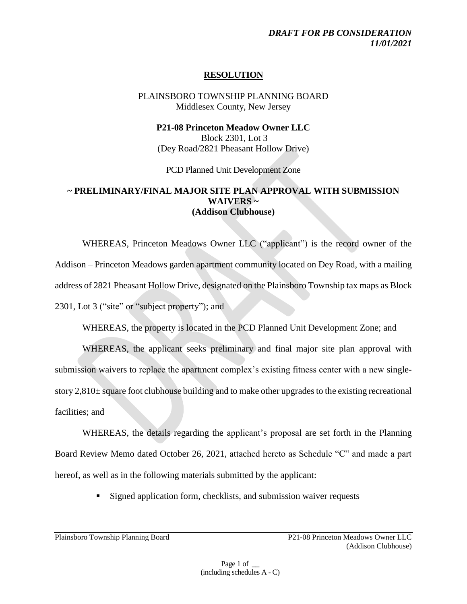#### *DRAFT FOR PB CONSIDERATION 11/01/2021*

## **RESOLUTION**

PLAINSBORO TOWNSHIP PLANNING BOARD Middlesex County, New Jersey

**P21-08 Princeton Meadow Owner LLC** Block 2301, Lot 3 (Dey Road/2821 Pheasant Hollow Drive)

PCD Planned Unit Development Zone

## **~ PRELIMINARY/FINAL MAJOR SITE PLAN APPROVAL WITH SUBMISSION WAIVERS ~ (Addison Clubhouse)**

WHEREAS, Princeton Meadows Owner LLC ("applicant") is the record owner of the Addison – Princeton Meadows garden apartment community located on Dey Road, with a mailing address of 2821 Pheasant Hollow Drive, designated on the Plainsboro Township tax maps as Block 2301, Lot 3 ("site" or "subject property"); and

WHEREAS, the property is located in the PCD Planned Unit Development Zone; and

WHEREAS, the applicant seeks preliminary and final major site plan approval with submission waivers to replace the apartment complex's existing fitness center with a new singlestory  $2,810\pm$  square foot clubhouse building and to make other upgrades to the existing recreational facilities; and

WHEREAS, the details regarding the applicant's proposal are set forth in the Planning Board Review Memo dated October 26, 2021, attached hereto as Schedule "C" and made a part hereof, as well as in the following materials submitted by the applicant:

■ Signed application form, checklists, and submission waiver requests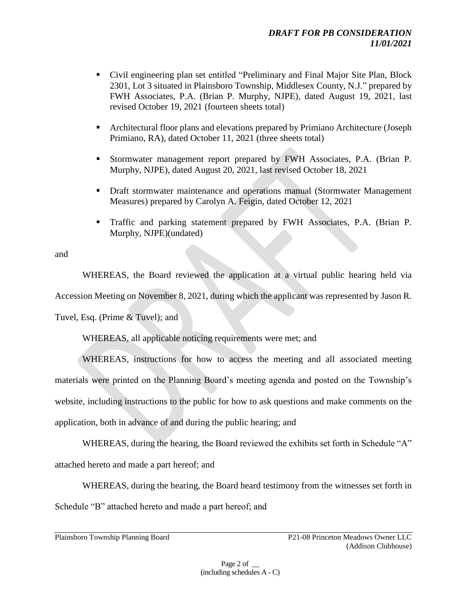- Civil engineering plan set entitled "Preliminary and Final Major Site Plan, Block 2301, Lot 3 situated in Plainsboro Township, Middlesex County, N.J." prepared by FWH Associates, P.A. (Brian P. Murphy, NJPE), dated August 19, 2021, last revised October 19, 2021 (fourteen sheets total)
- Architectural floor plans and elevations prepared by Primiano Architecture (Joseph Primiano, RA), dated October 11, 2021 (three sheets total)
- Stormwater management report prepared by FWH Associates, P.A. (Brian P. Murphy, NJPE), dated August 20, 2021, last revised October 18, 2021
- **Draft stormwater maintenance and operations manual (Stormwater Management)** Measures) prepared by Carolyn A. Feigin, dated October 12, 2021
- Traffic and parking statement prepared by FWH Associates, P.A. (Brian P. Murphy, NJPE)(undated)

and

WHEREAS, the Board reviewed the application at a virtual public hearing held via Accession Meeting on November 8, 2021, during which the applicant was represented by Jason R.

Tuvel, Esq. (Prime & Tuvel); and

WHEREAS, all applicable noticing requirements were met; and

WHEREAS, instructions for how to access the meeting and all associated meeting materials were printed on the Planning Board's meeting agenda and posted on the Township's website, including instructions to the public for how to ask questions and make comments on the application, both in advance of and during the public hearing; and

WHEREAS, during the hearing, the Board reviewed the exhibits set forth in Schedule "A" attached hereto and made a part hereof; and

WHEREAS, during the hearing, the Board heard testimony from the witnesses set forth in Schedule "B" attached hereto and made a part hereof; and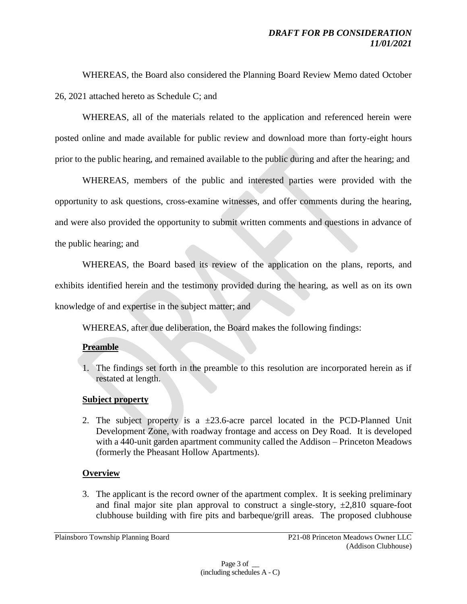WHEREAS, the Board also considered the Planning Board Review Memo dated October 26, 2021 attached hereto as Schedule C; and

WHEREAS, all of the materials related to the application and referenced herein were posted online and made available for public review and download more than forty-eight hours prior to the public hearing, and remained available to the public during and after the hearing; and

WHEREAS, members of the public and interested parties were provided with the opportunity to ask questions, cross-examine witnesses, and offer comments during the hearing, and were also provided the opportunity to submit written comments and questions in advance of the public hearing; and

WHEREAS, the Board based its review of the application on the plans, reports, and exhibits identified herein and the testimony provided during the hearing, as well as on its own knowledge of and expertise in the subject matter; and

WHEREAS, after due deliberation, the Board makes the following findings:

## **Preamble**

1. The findings set forth in the preamble to this resolution are incorporated herein as if restated at length.

# **Subject property**

2. The subject property is a  $\pm 23.6$ -acre parcel located in the PCD-Planned Unit Development Zone, with roadway frontage and access on Dey Road. It is developed with a 440-unit garden apartment community called the Addison – Princeton Meadows (formerly the Pheasant Hollow Apartments).

# **Overview**

3. The applicant is the record owner of the apartment complex. It is seeking preliminary and final major site plan approval to construct a single-story,  $\pm 2,810$  square-foot clubhouse building with fire pits and barbeque/grill areas. The proposed clubhouse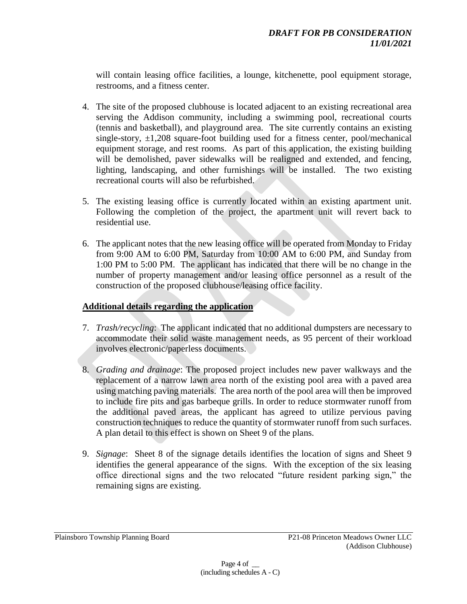will contain leasing office facilities, a lounge, kitchenette, pool equipment storage, restrooms, and a fitness center.

- 4. The site of the proposed clubhouse is located adjacent to an existing recreational area serving the Addison community, including a swimming pool, recreational courts (tennis and basketball), and playground area. The site currently contains an existing single-story, ±1,208 square-foot building used for a fitness center, pool/mechanical equipment storage, and rest rooms. As part of this application, the existing building will be demolished, paver sidewalks will be realigned and extended, and fencing, lighting, landscaping, and other furnishings will be installed. The two existing recreational courts will also be refurbished.
- 5. The existing leasing office is currently located within an existing apartment unit. Following the completion of the project, the apartment unit will revert back to residential use.
- 6. The applicant notes that the new leasing office will be operated from Monday to Friday from 9:00 AM to 6:00 PM, Saturday from 10:00 AM to 6:00 PM, and Sunday from 1:00 PM to 5:00 PM. The applicant has indicated that there will be no change in the number of property management and/or leasing office personnel as a result of the construction of the proposed clubhouse/leasing office facility.

## **Additional details regarding the application**

- 7. *Trash/recycling*: The applicant indicated that no additional dumpsters are necessary to accommodate their solid waste management needs, as 95 percent of their workload involves electronic/paperless documents.
- 8. *Grading and drainage*: The proposed project includes new paver walkways and the replacement of a narrow lawn area north of the existing pool area with a paved area using matching paving materials. The area north of the pool area will then be improved to include fire pits and gas barbeque grills. In order to reduce stormwater runoff from the additional paved areas, the applicant has agreed to utilize pervious paving construction techniques to reduce the quantity of stormwater runoff from such surfaces. A plan detail to this effect is shown on Sheet 9 of the plans.
- 9. *Signage*: Sheet 8 of the signage details identifies the location of signs and Sheet 9 identifies the general appearance of the signs. With the exception of the six leasing office directional signs and the two relocated "future resident parking sign," the remaining signs are existing.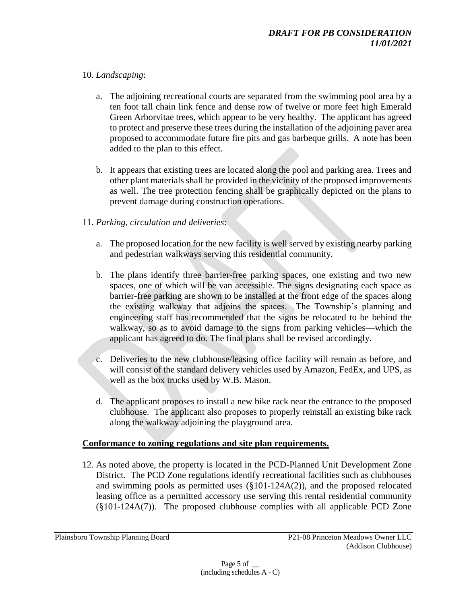# 10. *Landscaping*:

- a. The adjoining recreational courts are separated from the swimming pool area by a ten foot tall chain link fence and dense row of twelve or more feet high Emerald Green Arborvitae trees, which appear to be very healthy. The applicant has agreed to protect and preserve these trees during the installation of the adjoining paver area proposed to accommodate future fire pits and gas barbeque grills. A note has been added to the plan to this effect.
- b. It appears that existing trees are located along the pool and parking area. Trees and other plant materials shall be provided in the vicinity of the proposed improvements as well. The tree protection fencing shall be graphically depicted on the plans to prevent damage during construction operations.

# 11. *Parking, circulation and deliveries*:

- a. The proposed location for the new facility is well served by existing nearby parking and pedestrian walkways serving this residential community.
- b. The plans identify three barrier-free parking spaces, one existing and two new spaces, one of which will be van accessible. The signs designating each space as barrier-free parking are shown to be installed at the front edge of the spaces along the existing walkway that adjoins the spaces. The Township's planning and engineering staff has recommended that the signs be relocated to be behind the walkway, so as to avoid damage to the signs from parking vehicles—which the applicant has agreed to do. The final plans shall be revised accordingly.
- c. Deliveries to the new clubhouse/leasing office facility will remain as before, and will consist of the standard delivery vehicles used by Amazon, FedEx, and UPS, as well as the box trucks used by W.B. Mason.
- d. The applicant proposes to install a new bike rack near the entrance to the proposed clubhouse. The applicant also proposes to properly reinstall an existing bike rack along the walkway adjoining the playground area.

## **Conformance to zoning regulations and site plan requirements.**

12. As noted above, the property is located in the PCD-Planned Unit Development Zone District. The PCD Zone regulations identify recreational facilities such as clubhouses and swimming pools as permitted uses (§101-124A(2)), and the proposed relocated leasing office as a permitted accessory use serving this rental residential community (§101-124A(7)). The proposed clubhouse complies with all applicable PCD Zone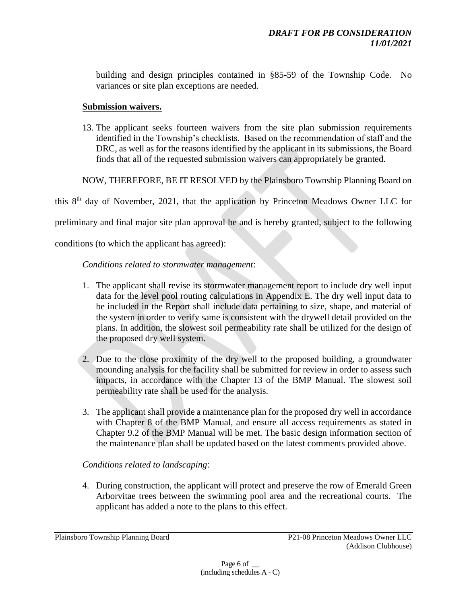building and design principles contained in §85-59 of the Township Code. No variances or site plan exceptions are needed.

#### **Submission waivers.**

13. The applicant seeks fourteen waivers from the site plan submission requirements identified in the Township's checklists. Based on the recommendation of staff and the DRC, as well as for the reasons identified by the applicant in its submissions, the Board finds that all of the requested submission waivers can appropriately be granted.

NOW, THEREFORE, BE IT RESOLVED by the Plainsboro Township Planning Board on

this  $8<sup>th</sup>$  day of November, 2021, that the application by Princeton Meadows Owner LLC for

preliminary and final major site plan approval be and is hereby granted, subject to the following

conditions (to which the applicant has agreed):

#### *Conditions related to stormwater management*:

- 1. The applicant shall revise its stormwater management report to include dry well input data for the level pool routing calculations in Appendix E. The dry well input data to be included in the Report shall include data pertaining to size, shape, and material of the system in order to verify same is consistent with the drywell detail provided on the plans. In addition, the slowest soil permeability rate shall be utilized for the design of the proposed dry well system.
- 2. Due to the close proximity of the dry well to the proposed building, a groundwater mounding analysis for the facility shall be submitted for review in order to assess such impacts, in accordance with the Chapter 13 of the BMP Manual. The slowest soil permeability rate shall be used for the analysis.
- 3. The applicant shall provide a maintenance plan for the proposed dry well in accordance with Chapter 8 of the BMP Manual, and ensure all access requirements as stated in Chapter 9.2 of the BMP Manual will be met. The basic design information section of the maintenance plan shall be updated based on the latest comments provided above.

## *Conditions related to landscaping*:

4. During construction, the applicant will protect and preserve the row of Emerald Green Arborvitae trees between the swimming pool area and the recreational courts. The applicant has added a note to the plans to this effect.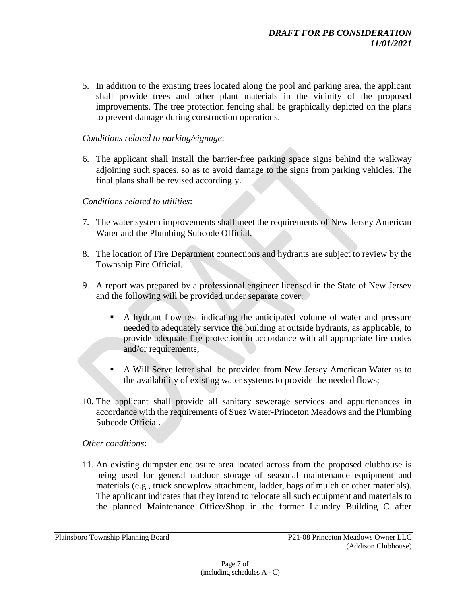5. In addition to the existing trees located along the pool and parking area, the applicant shall provide trees and other plant materials in the vicinity of the proposed improvements. The tree protection fencing shall be graphically depicted on the plans to prevent damage during construction operations.

## *Conditions related to parking/signage*:

6. The applicant shall install the barrier-free parking space signs behind the walkway adjoining such spaces, so as to avoid damage to the signs from parking vehicles. The final plans shall be revised accordingly.

## *Conditions related to utilities*:

- 7. The water system improvements shall meet the requirements of New Jersey American Water and the Plumbing Subcode Official.
- 8. The location of Fire Department connections and hydrants are subject to review by the Township Fire Official.
- 9. A report was prepared by a professional engineer licensed in the State of New Jersey and the following will be provided under separate cover:
	- A hydrant flow test indicating the anticipated volume of water and pressure needed to adequately service the building at outside hydrants, as applicable, to provide adequate fire protection in accordance with all appropriate fire codes and/or requirements;
	- A Will Serve letter shall be provided from New Jersey American Water as to the availability of existing water systems to provide the needed flows;
- 10. The applicant shall provide all sanitary sewerage services and appurtenances in accordance with the requirements of Suez Water-Princeton Meadows and the Plumbing Subcode Official.

## *Other conditions*:

11. An existing dumpster enclosure area located across from the proposed clubhouse is being used for general outdoor storage of seasonal maintenance equipment and materials (e.g., truck snowplow attachment, ladder, bags of mulch or other materials). The applicant indicates that they intend to relocate all such equipment and materials to the planned Maintenance Office/Shop in the former Laundry Building C after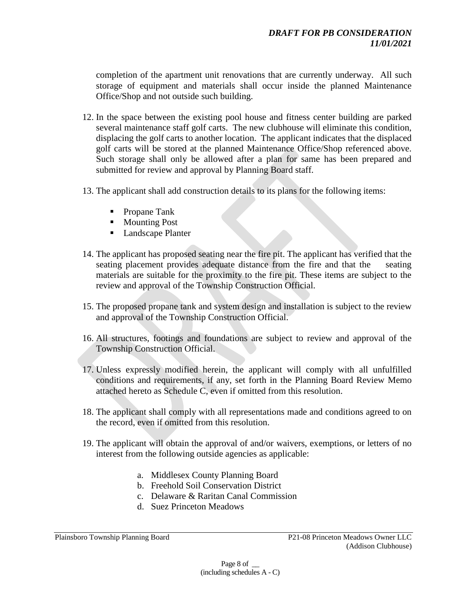completion of the apartment unit renovations that are currently underway. All such storage of equipment and materials shall occur inside the planned Maintenance Office/Shop and not outside such building.

- 12. In the space between the existing pool house and fitness center building are parked several maintenance staff golf carts. The new clubhouse will eliminate this condition, displacing the golf carts to another location. The applicant indicates that the displaced golf carts will be stored at the planned Maintenance Office/Shop referenced above. Such storage shall only be allowed after a plan for same has been prepared and submitted for review and approval by Planning Board staff.
- 13. The applicant shall add construction details to its plans for the following items:
	- Propane Tank
	- Mounting Post
	- Landscape Planter
- 14. The applicant has proposed seating near the fire pit. The applicant has verified that the seating placement provides adequate distance from the fire and that the seating materials are suitable for the proximity to the fire pit. These items are subject to the review and approval of the Township Construction Official.
- 15. The proposed propane tank and system design and installation is subject to the review and approval of the Township Construction Official.
- 16. All structures, footings and foundations are subject to review and approval of the Township Construction Official.
- 17. Unless expressly modified herein, the applicant will comply with all unfulfilled conditions and requirements, if any, set forth in the Planning Board Review Memo attached hereto as Schedule C, even if omitted from this resolution.
- 18. The applicant shall comply with all representations made and conditions agreed to on the record, even if omitted from this resolution.
- 19. The applicant will obtain the approval of and/or waivers, exemptions, or letters of no interest from the following outside agencies as applicable:
	- a. Middlesex County Planning Board
	- b. Freehold Soil Conservation District
	- c. Delaware & Raritan Canal Commission
	- d. Suez Princeton Meadows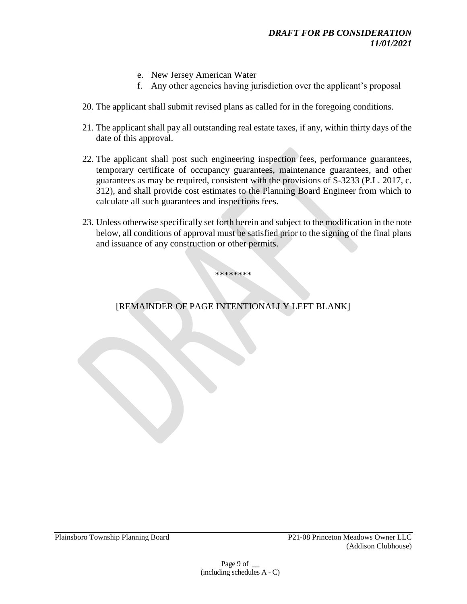- e. New Jersey American Water
- f. Any other agencies having jurisdiction over the applicant's proposal
- 20. The applicant shall submit revised plans as called for in the foregoing conditions.
- 21. The applicant shall pay all outstanding real estate taxes, if any, within thirty days of the date of this approval.
- 22. The applicant shall post such engineering inspection fees, performance guarantees, temporary certificate of occupancy guarantees, maintenance guarantees, and other guarantees as may be required, consistent with the provisions of S-3233 (P.L. 2017, c. 312), and shall provide cost estimates to the Planning Board Engineer from which to calculate all such guarantees and inspections fees.
- 23. Unless otherwise specifically set forth herein and subject to the modification in the note below, all conditions of approval must be satisfied prior to the signing of the final plans and issuance of any construction or other permits.

# [REMAINDER OF PAGE INTENTIONALLY LEFT BLANK]

\*\*\*\*\*\*\*\*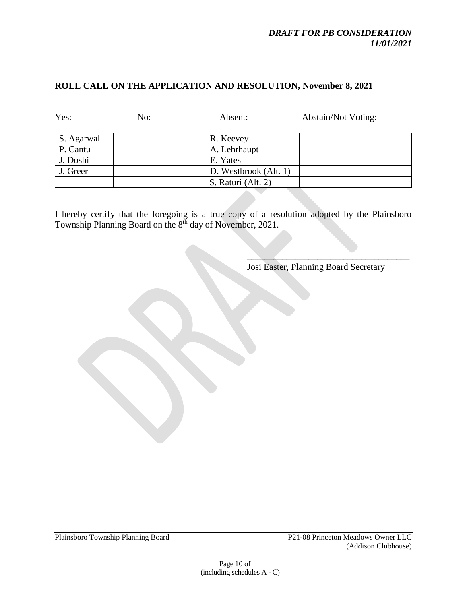#### *DRAFT FOR PB CONSIDERATION 11/01/2021*

## **ROLL CALL ON THE APPLICATION AND RESOLUTION, November 8, 2021**

| Yes:       | No: | Absent:               | <b>Abstain/Not Voting:</b> |
|------------|-----|-----------------------|----------------------------|
| S. Agarwal |     | R. Keevey             |                            |
| P. Cantu   |     | A. Lehrhaupt          |                            |
| J. Doshi   |     | E. Yates              |                            |
| J. Greer   |     | D. Westbrook (Alt. 1) |                            |
|            |     | S. Raturi (Alt. 2)    |                            |

I hereby certify that the foregoing is a true copy of a resolution adopted by the Plainsboro Township Planning Board on the 8<sup>th</sup> day of November, 2021.

Josi Easter, Planning Board Secretary

 $\mathcal{L}=\mathcal{L}=\mathcal{L}=\mathcal{L}=\mathcal{L}=\mathcal{L}=\mathcal{L}=\mathcal{L}=\mathcal{L}=\mathcal{L}=\mathcal{L}=\mathcal{L}=\mathcal{L}=\mathcal{L}=\mathcal{L}=\mathcal{L}=\mathcal{L}=\mathcal{L}=\mathcal{L}=\mathcal{L}=\mathcal{L}=\mathcal{L}=\mathcal{L}=\mathcal{L}=\mathcal{L}=\mathcal{L}=\mathcal{L}=\mathcal{L}=\mathcal{L}=\mathcal{L}=\mathcal{L}=\mathcal{L}=\mathcal{L}=\mathcal{L}=\mathcal{L}=\mathcal{L}=\mathcal{$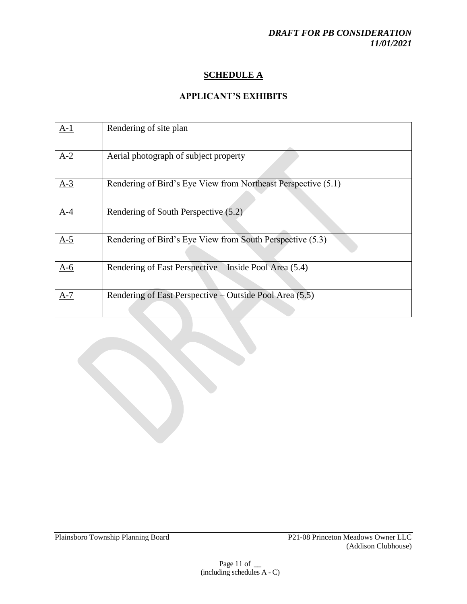# **SCHEDULE A**

## **APPLICANT'S EXHIBITS**

| $A-1$ | Rendering of site plan                                        |
|-------|---------------------------------------------------------------|
| $A-2$ | Aerial photograph of subject property                         |
| $A-3$ | Rendering of Bird's Eye View from Northeast Perspective (5.1) |
| $A-4$ | Rendering of South Perspective (5.2)                          |
| $A-5$ | Rendering of Bird's Eye View from South Perspective (5.3)     |
| $A-6$ | Rendering of East Perspective – Inside Pool Area (5.4)        |
| $A-7$ | Rendering of East Perspective – Outside Pool Area (5.5)       |